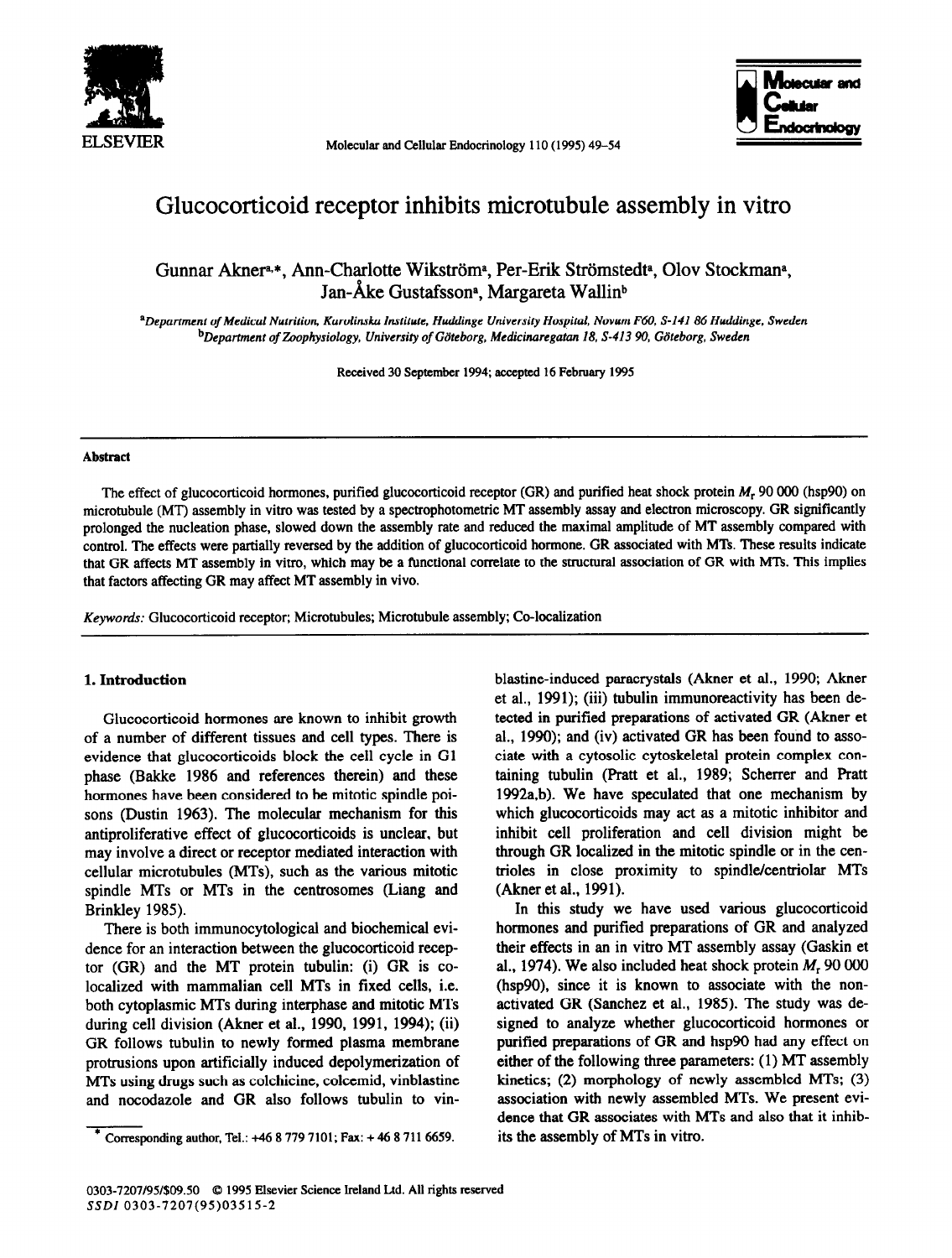

**Molecular and Cellular Endocrinology 110 (1995) 49-54** 



# Glucocorticoid receptor inhibits microtubule assembly in vitro

## Gunnar Akner<sup>a,\*</sup>, Ann-Charlotte Wikström<sup>a</sup>, Per-Erik Strömstedt<sup>a</sup>, Olov Stockman<sup>a</sup>, Jan-Åke Gustafsson<sup>a</sup>, Margareta Wallin<sup>b</sup>

*aDepartment of Medical Nutrition, Karolinska Institute, Huddinge University Hospital, Novum F60, S-141 86 Huddinge, Sweden bDepartment of Zoophysiology, University of Gilteborg, Medicinaregatan 18, S-413 90, Gb'teborg, Sweden* 

**Received 30 Septemher 1994;** accepted 16 February **1995** 

#### **Abstract**

The effect of glucocorticoid hormones, purified glucocorticoid receptor (GR) and purified heat shock protein  $M_r$  90 000 (hsp90) on microtubule (MT) assembly in vitro was tested by a spectrophotometric MT assembly assay and electron microscopy. GR significantly prolonged the nucleation phase, slowed down the assembly rate and reduced the maximal amplitude of MT assembly compared with control. The effects were partially reversed by the addition of glucocorticoid hormone. GR associated with MTs. These results indicate that GR affects MT assembly in vitro, which may be a functional correlate to the structural association of GR with MTs. This implies that factors affecting GR may affect MT assembly in vivo.

*Keywords:* Glucocorticoid receptor; Microtubules; Microtubule assembly; Co-localization

#### 1. **Introduction**

Glucocorticoid hormones are known to inhibit growth of a number of different tissues and cell types. There is evidence that glucocorticoids block the cell cycle in Gl phase (Bakke 1986 and references therein) and these hormones have been considered to be mitotic spindle poisons (Dustin 1963). The molecular mechanism for this antiproliferative effect of glucocorticoids is unclear, but may involve a direct or receptor mediated interaction with cellular microtubules (MTs), such as the various mitotic spindle MTs or MTs in the centrosomes (Liang and Brinkley 1985).

There is both immunocytological and biochemical evidence for an interaction between the glucocorticoid receptor (GR) and the MT protein tubulin: (i) GR is colocalized with mammalian cell MTs in fixed cells, i.e. both cytoplasmic MTs during interphase and mitotic MTs during cell division (Akner et al., 1990, 1991, 1994); (ii) GR follows tubulin to newly formed plasma membrane protrusions upon artificially induced depolymerization of MTs using drugs such as colchicine, colcemid, vinblastine and nocodazole and GR also follows tubulin to vinblastine-induced paracrystals (Akner et al., 1990; Akner et al., 1991); (iii) tubulin immunoreactivity has been detected in purified preparations of activated GR (Akner et al., 1990); and (iv) activated GR has been found to associate with a cytosolic cytoskeletal protein complex containing tubulin (Pratt et al., 1989; Scherrer and Pratt 1992a,b). We have speculated that one mechanism by which glucocorticoids may act as a mitotic inhibitor and inhibit cell proliferation and cell division might be through GR localized in the mitotic spindle or in the centrioles in close proximity to spindle/centriolar MTs (Akner et al., 1991).

In this study we have used various glucocorticoid hormones and purified preparations of GR and analyzed their effects in an in vitro MT assembly assay (Gaskin et al., 1974). We also included heat shock protein *M,* 90 000 (hsp90), since it is known to associate with the nonactivated GR (Sanchez et al., 1985). The study was designed to analyze whether glucocorticoid hormones or purified preparations of GR and hsp90 had any effect on either of the following three parameters: (1) MT assembly kinetics; (2) morphology of newly assembled MTs; (3) association with newly assembled MTs. We present evidence that GR associates with MTs and also that it inhibits the assembly of MTs in vitro.

**Tponding author, Tel.: +46 8 779 7101; Fax: + 46 8 711 6659.**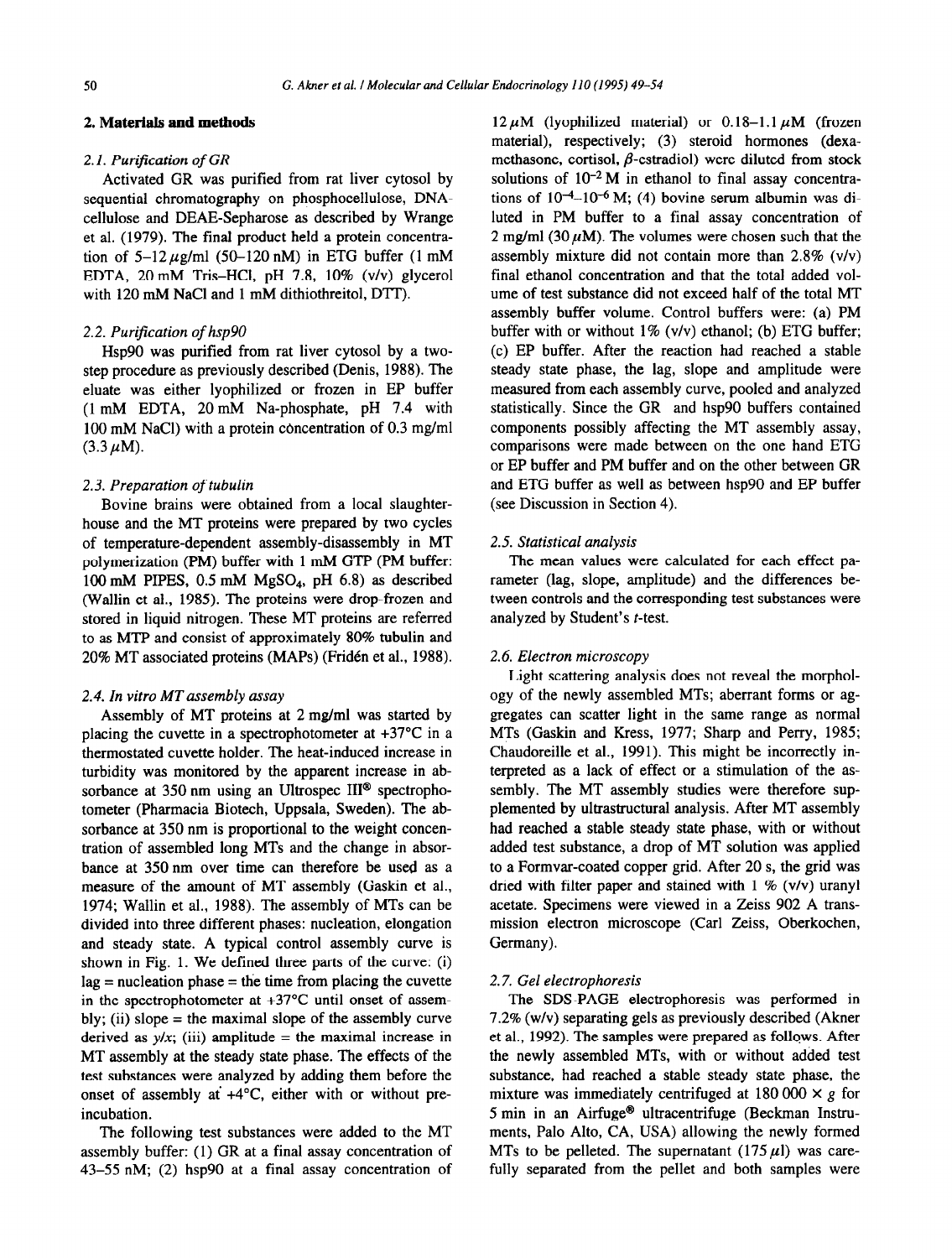#### *2.* **Materials and methods**

#### *2.1. Purification of GR*

Activated GR was purified from rat liver cytosol by sequential chromatography on phosphocellulose, DNAcellulose and DEAE-Sepharose as described by Wrange et al. (1979). The final product held a protein concentration of  $5-12 \mu g/ml$  (50-120 nM) in ETG buffer (1 mM EDTA, 20 mM Tris-HCl, pH 7.8, 10% (v/v) glycerol with 120 mM NaCl and 1 mM dithiothreitol, DTT).

#### 2.2. *Purijicarion of hsp90*

*Hsp90* was purified from rat liver cytosol by a twostep procedure as previously described (Denis, 1988). The eluate was either lyophilized or frozen in EP buffer (1 mM EDTA, 20 mM Na-phosphate, pH 7.4 with 100 mM NaCl) with a protein concentration of 0.3 mg/ml  $(3.3 \,\mu M)$ .

#### 2.3. Preparation of tubulin

Bovine brains were obtained from a local slaughterhouse and the MT proteins were prepared by two cycles of temperature-dependent assembly-disassembly in MT polymerization (PM) buffer with 1 mM GTP (PM buffer: 100 mM PIPES, 0.5 mM MgSO<sub>4</sub>, pH 6.8) as described (Wallin et al., 1985). The proteins were drop-frozen and stored in liquid nitrogen. These MT proteins are referred to as MTP and consist of approximately 80% tubulin and 20% MT associated proteins (MAPs) (Fridén et al., 1988).

#### 2.4. In *vitro MT assembly assay*

Assembly of MT proteins at 2 mg/ml was started by placing the cuvette in a spectrophotometer at  $+37^{\circ}$ C in a thermostated cuvette holder. The heat-induced increase in turbidity was monitored by the apparent increase in absorbance at 350 nm using an Ultrospec III<sup>®</sup> spectrophotometer (Pharmacia Biotech, Uppsala, Sweden). The absorbance at 350 nm is proportional to the weight concentration of assembled long MTs and the change in absorbance at 350 nm over time can therefore be used as a measure of the amount of MT assembly (Gaskin et al., 1974; Wallin et al., 1988). The assembly of MTs can be divided into three different phases: nucleation, elongation and steady state. A typical control assembly curve is shown in Fig. 1. We defined three parts of the curve: (i)  $lag = nucleation phase = the time from placing the cuvette$ in the spectrophotometer at  $+37^{\circ}$ C until onset of assembly; (ii) slope  $=$  the maximal slope of the assembly curve derived as  $y/x$ ; (iii) amplitude = the maximal increase in MT assembly at the steady state phase. The effects of the test substances were analyzed by adding them before the onset of assembly at  $+4^{\circ}$ C, either with or without preincubation.

The following test substances were added to the MT assembly buffer: (1) GR at a final assay concentration of 43-55 nM; (2) hsp90 at a final assay concentration of

 $12 \mu M$  (lyophilized material) or 0.18-1.1  $\mu$ M (frozen material), respectively; (3) steroid hormones (dexamethasone, cortisol,  $\beta$ -estradiol) were diluted from stock solutions of  $10^{-2}$  M in ethanol to final assay concentrations of  $10^{-4}$ -10<sup>-6</sup> M; (4) bovine serum albumin was diluted in PM buffer to a final assay concentration of 2 mg/ml (30  $\mu$ M). The volumes were chosen such that the assembly mixture did not contain more than 2.8% (v/v) final ethanol concentration and that the total added volume of test substance did not exceed half of the total MT assembly buffer volume. Control buffers were: (a) PM buffer with or without  $1\%$  (v/v) ethanol; (b) ETG buffer; (c) EP buffer. After the reaction had reached a stable steady state phase, the lag, slope and amplitude were measured from each assembly curve, pooled and analyzed statistically. Since the GR and hsp90 buffers contained components possibly affecting the MT assembly assay, comparisons were made between on the one hand ETG or EP buffer and PM buffer and on the other between GR and ETG buffer as well as between hsp90 and EP buffer (see Discussion in Section 4).

#### 2.5. *Starisrical analysis*

The mean values were calculated for each effect parameter (lag, slope, amplitude) and the differences between controls and the corresponding test substances were analyzed by Student's t-test.

#### 2.6. *Electron microscopy*

Light scattering analysis does not reveal the morphology of the newly assembled MTs; aberrant forms or aggregates can scatter light in the same range as normal MTs (Gaskin and Kress, 1977; Sharp and Perry, 1985; Chaudoreille et al., 1991). This might be incorrectly interpreted as a lack of effect or a stimulation of the assembly. The MT assembly studies were therefore supplemented by ultrastructural analysis. After MT assembly had reached a stable steady state phase, with or without added test substance, a drop of MT solution was applied to a Formvar-coated copper grid. After 20 s, the grid was dried with filter paper and stained with  $1 \%$  (v/v) uranyl acetate. Specimens were viewed in a Zeiss 902 A transmission electron microscope (Carl Zeiss, Oberkochen, Germany).

#### 2.7. Gel *electrophoresis*

*The* SDS-PAGE electrophoresis was performed in 7.2% (w/v) separating gels as previously described (Akner et al., 1992). The samples were prepared as follqws. After the newly assembled MTs, with or without added test substance, had reached a stable steady state phase, the mixture was immediately centrifuged at  $180\,000 \times g$  for 5 min in an Airfuge@ ultracentrifuge (Beckman Instruments, Palo Alto, CA, USA) allowing the newly formed MTs to be pelleted. The supernatant  $(175 \mu l)$  was carefully separated from the pellet and both samples were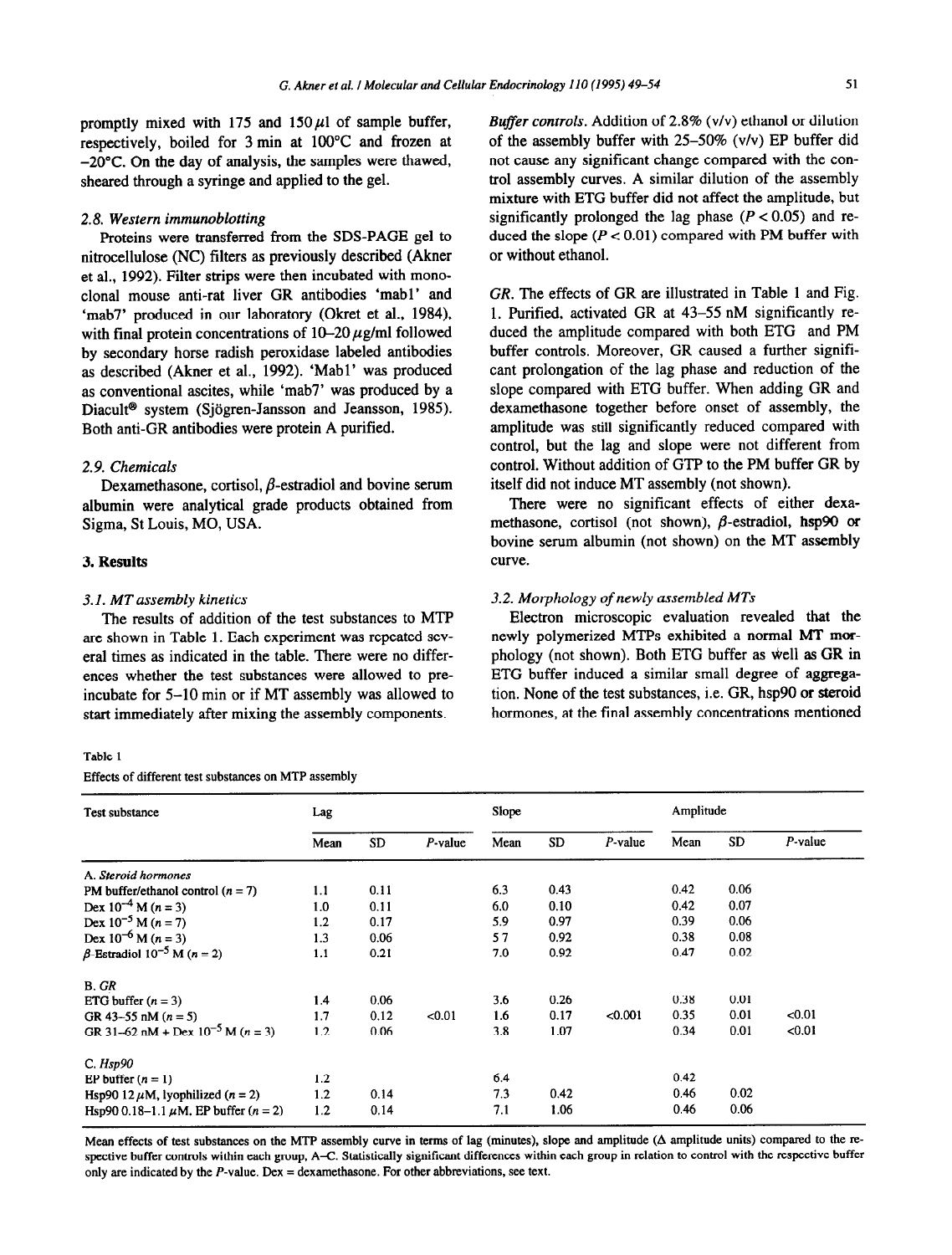promptly mixed with 175 and  $150~\mu$ l of sample buffer, respectively, boiled for 3 min at 100°C and frozen at -20°C. On the day of analysis, the samples were thawed, sheared through a syringe and applied to the gel.

#### 2.8. *Western immunoblotting*

Proteins were transferred from the SDS-PAGE gel to nitrocellulose (NC) filters as previously described (Akner et al., 1992). Filter strips were then incubated with monoclonal mouse anti-rat liver GR antibodies 'mabl' and 'mab7' produced in our laboratory (Okret et al., 1984) with final protein concentrations of  $10-20 \mu$ g/ml followed by secondary horse radish peroxidase labeled antibodies as described (Akner et al., 1992). 'Mabl' was produced as conventional ascites, while 'mab7' was produced by a Diacult<sup>®</sup> system (Sjögren-Jansson and Jeansson, 1985). Both anti-GR antibodies were protein A purified.

#### 2.9. *Chemicals*

Dexamethasone, cortisol,  $\beta$ -estradiol and bovine serum albumin were analytical grade products obtained from Sigma, St Louis, MO, USA.

#### 3. **Results**

The results of addition of the test substances to MTP are shown in Table 1. Each experiment was repeated several times as indicated in the table. There were no differences whether the test substances were allowed to preincubate for 5-10 min or if MT assembly was allowed to start immediately after mixing the assembly components.

#### Table 1

Effects of different test substances on MTP assembly

*Buffer controls.* Addition of 2.8% (v/v) ethanol or dilution of the assembly buffer with 25-50% (v/v) EP buffer did not cause any significant change compared with the control assembly curves. A similar dilution of the assembly mixture with ETG buffer did not affect the amplitude, but significantly prolonged the lag phase  $(P < 0.05)$  and reduced the slope  $(P < 0.01)$  compared with PM buffer with or without ethanol.

*CR. The* effects of GR are illustrated in Table 1 and Fig. 1. Purified, activated GR at 43-55 nM significantly reduced the amplitude compared with both ETG and PM buffer controls. Moreover, GR caused a further significant prolongation of the lag phase and reduction of the slope compared with ETG buffer. When adding GR and dexamethasone together before onset of assembly, the amplitude was still significantly reduced compared with control, but the lag and slope were not different from control. Without addition of GTP to the PM buffer GR by itself did not induce MT assembly (not shown).

There were no significant effects of either dexamethasone, cortisol (not shown),  $\beta$ -estradiol, hsp90 or bovine serum albumin (not shown) on the MT assembly curve.

#### **3. I.** *MT assembly kinetics* 3.2. *Morphology of newly assembled MTs*

Electron microscopic evaluation revealed that the newly polymerized MTPs exhibited a normal MT morphology (not shown). Both ETG buffer as well as GR in ETG buffer induced a similar small degree of aggregation. None of the test substances, i.e. GR, hsp90 or steroid hormones, at the final assembly concentrations mentioned

| Test substance                                | Lag  |      |            | Slope |           |            | Amplitude |           |            |
|-----------------------------------------------|------|------|------------|-------|-----------|------------|-----------|-----------|------------|
|                                               | Mean | SD   | $P$ -value | Mean  | <b>SD</b> | $P$ -value | Mean      | <b>SD</b> | $P$ -value |
| A. Steroid hormones                           |      |      |            |       |           |            |           |           |            |
| PM buffer/ethanol control $(n = 7)$           | 1.1  | 0.11 |            | 6.3   | 0.43      |            | 0.42      | 0.06      |            |
| Dex $10^{-4}$ M (n = 3)                       | 1.0  | 0.11 |            | 6.0   | 0.10      |            | 0.42      | 0.07      |            |
| Dex $10^{-5}$ M $(n = 7)$                     | 1.2  | 0.17 |            | 5.9   | 0.97      |            | 0.39      | 0.06      |            |
| Dex $10^{-6}$ M (n = 3)                       | 1.3  | 0.06 |            | 57    | 0.92      |            | 0.38      | 0.08      |            |
| $\beta$ -Estradiol 10 <sup>-5</sup> M (n = 2) | 1.1  | 0.21 |            | 7.0   | 0.92      |            | 0.47      | 0.02      |            |
| B. GR                                         |      |      |            |       |           |            |           |           |            |
| ETG buffer $(n = 3)$                          | 1.4  | 0.06 |            | 3.6   | 0.26      |            | 0.38      | 0.01      |            |
| GR 43-55 nM $(n = 5)$                         | 1.7  | 0.12 | < 0.01     | 1.6   | 0.17      | < 0.001    | 0.35      | 0.01      | < 0.01     |
| GR 31-62 nM + Dex $10^{-5}$ M (n = 3)         | 1.2  | 0.06 |            | 3.8   | 1.07      |            | 0.34      | 0.01      | < 0.01     |
| C. Hsp90                                      |      |      |            |       |           |            |           |           |            |
| EP buffer $(n = 1)$                           | 1.2  |      |            | 6.4   |           |            | 0.42      |           |            |
| Hsp90 12 $\mu$ M, lyophilized (n = 2)         | 1.2  | 0.14 |            | 7.3   | 0.42      |            | 0.46      | 0.02      |            |
| Hsp90 0.18–1.1 $\mu$ M, EP buffer (n = 2)     | 1.2  | 0.14 |            | 7.1   | 1.06      |            | 0.46      | 0.06      |            |

Mean effects of test substances on the MTP assembly curve in terms of lag (minutes), slope and amplitude  $(\Delta$  amplitude units) compared to the respective buffer controls within each group, A-C. Statistically significant differences within each group in relation to control with the respective buffer only are indicated by the *P-value. Dex =* dexamethasone. For other abbreviations, see text.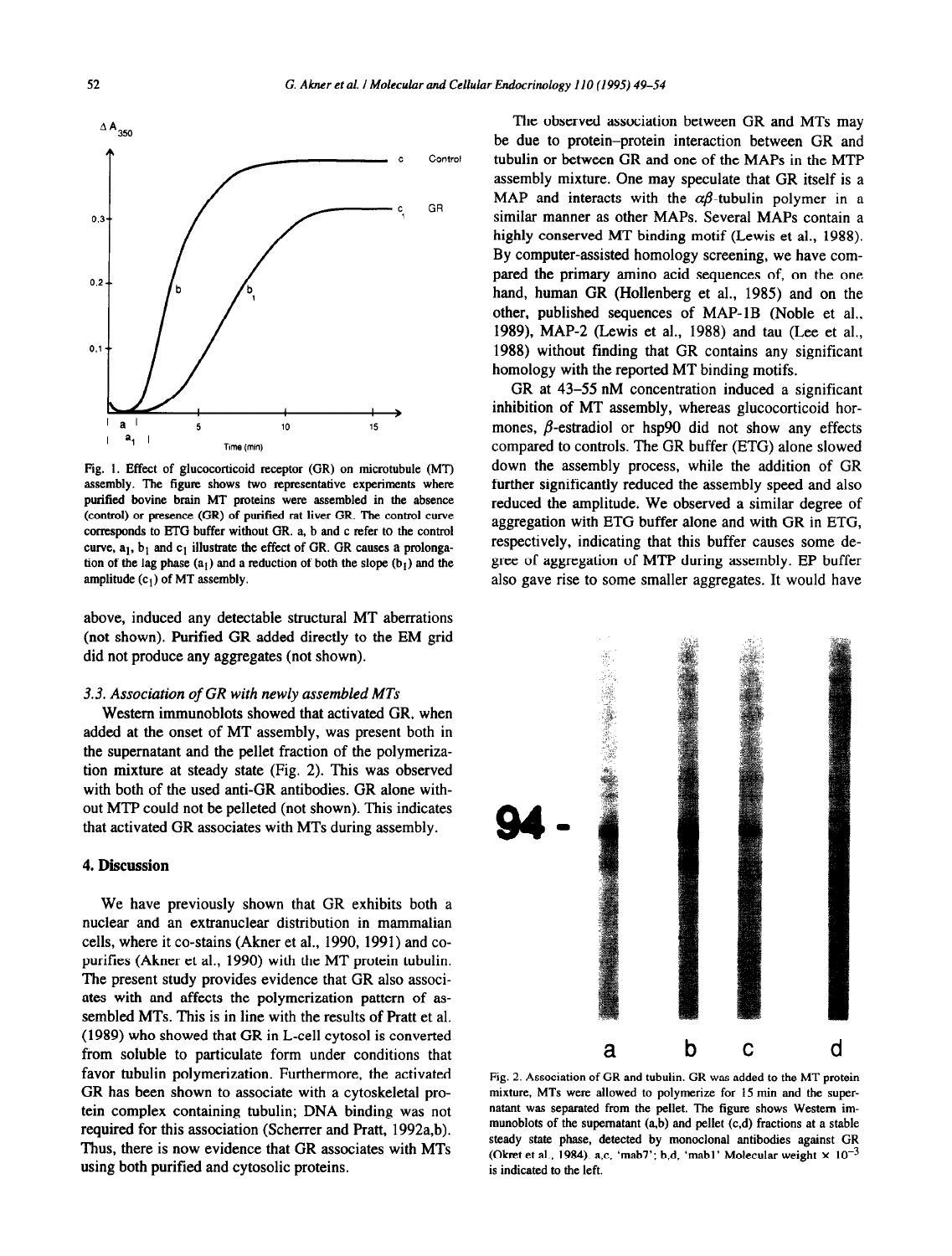

Fig. 1. Effect of glucocorticoid receptor (GR) on microtubule (MT) assembly. The figure shows two representative experiments where putified bovine brain MT proteins were assembled in the absence (control) or presence (GR) of purified rat liver GR. The control curve corresponds to ETG buffer without GR. a, b and c refer to the control curve,  $a_1$ ,  $b_1$  and  $c_1$  illustrate the effect of GR. GR causes a prolongation of the lag phase  $(a_1)$  and a reduction of both the slope  $(b_1)$  and the amplitude  $(c_1)$  of MT assembly.

above, induced any detectable structural MT aberrations (not shown). Purified GR added directly to the EM grid did not produce any aggregates (not shown).

#### 3.3. *Association of GR with newly assembled MTs*

Western immunoblots showed that activated GR, when added at the onset of MT assembly, was present both in the supematant and the pellet fraction of the polymerization mixture at steady state (Fig. 2). This was observed with both of the used anti-GR antibodies. GR alone without MTP could not be pelleted (not shown). This indicates that activated GR associates with MTs during assembly.

#### 4. **Discussion**

We have previously shown that GR exhibits both a nuclear and an extranuclear distribution in mammalian cells, where it co-stains (Akner et al., 1990, 1991) and copurifies (Akner et al., 1990) with the MT protein tubulin. The present study provides evidence that GR also associates with and affects the polymerization pattern of assembled MTs. This is in line with the results of Pratt et al. (1989) who showed that GR in L-cell cytosol is converted from soluble to particulate form under conditions that favor tubulin polymerization. Furthermore, the activated GR has been shown to associate with a cytoskeletal protein complex containing tubulin; DNA binding was not required for this association (Scherrer and Pratt, 1992a,b). Thus, there is now evidence that GR associates with MTs using both purified and cytosolic proteins.

The observed association between GR and MTs may be due to protein-protein interaction between GR and tubulin or between GR and one of the MAPS in the MTP assembly mixture. One may speculate that GR itself is a MAP and interacts with the  $\alpha\beta$ -tubulin polymer in a similar manner as other MAPS. Several MAPS contain a highly conserved MT binding motif (Lewis et al., 1988). By computer-assisted homology screening, we have compared the primary amino acid sequences of, on the one hand, human GR (Hollenberg et al., 1985) and on the other, published sequences of MAP-1B (Noble et al., 1989), MAP-2 (Lewis et al., 1988) and tau (Lee et al., 1988) without finding that GR contains any significant homology with the reported MT binding motifs.

GR at 43-55 nM concentration induced a significant inhibition of MT assembly, whereas glucocorticoid hormones,  $\beta$ -estradiol or hsp90 did not show any effects compared to controls. The GR buffer (ETG) alone slowed down the assembly process, while the addition of GR further significantly reduced the assembly speed and also reduced the amplitude. We observed a similar degree of aggregation with ETG buffer alone and with GR in ETG, respectively, indicating that this buffer causes some degree of aggregation of MTP during assembly. EP buffer also gave rise to some smaller aggregates. It would have



Fig. 2. Association of GR and tubulin. GR was added to the MT protein mixture, MTs were allowed to polymerize for 15 min and the supernatant was separated from the pellet. The figure shows Western immunoblots of the supernatant  $(a,b)$  and pellet  $(c,d)$  fractions at a stable steady state phase, detected by monoclonal antibodies against GR (Okret et al., 1984). a,c, 'mab7'; b,d, 'mab1' Molecular weight  $\times 10^{-3}$ is indicated to the left.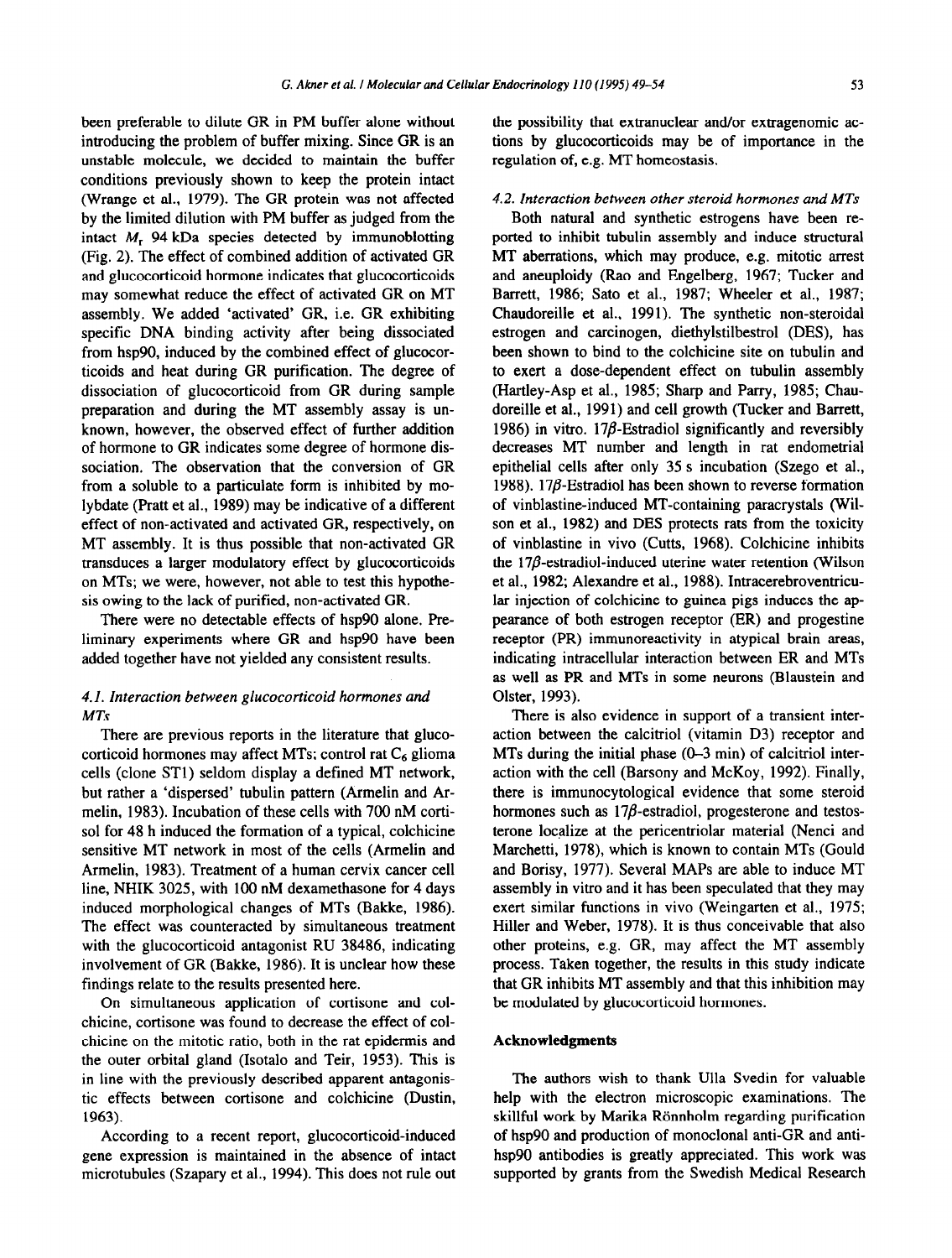been preferable to dilute GR in PM buffer alone without introducing the problem of buffer mixing. Since GR is an unstable molecule, we decided to maintain the buffer conditions previously shown to keep the protein intact (Wrange et al., 1979). The GR protein was not affected by the limited dilution with PM buffer as judged from the intact  $M_r$  94 kDa species detected by immunoblotting (Fig. 2). The effect of combined addition of activated GR and glucocorticoid hormone indicates that glucocorticoids may somewhat reduce the effect of activated GR on MT assembly. We added 'activated' GR, i.e. GR exhibiting specific DNA binding activity after being dissociated from hsp90, induced by the combined effect of glucocorticoids and heat during GR purification. The degree of dissociation of glucocorticoid from GR during sample preparation and during the MT assembly assay is unknown, however, the observed effect of further addition of hormone to GR indicates some degree of hormone dissociation. The observation that the conversion of GR from a soluble to a particulate form is inhibited by molybdate (Pratt et al., 1989) may be indicative of a different effect of non-activated and activated GR, respectively, on MT assembly. It is thus possible that non-activated GR transduces a larger modulatory effect by glucocorticoids on MTs; we were, however, not able to test this hypothesis owing to the lack of purified, non-activated GR.

There were no detectable effects of hsp90 alone. Preliminary experiments where GR and hsp90 have been added together have not yielded any consistent results.

#### 4.1. *Interaction between glucocorticoid hormones and MTs*

There are previous reports in the literature that glucocorticoid hormones may affect MTs; control rat  $C_6$  glioma cells (clone STl) seldom display a defined MT network, but rather a 'dispersed' tubulin pattern (Armelin and Armelin, 1983). Incubation of these cells with 700 nM cortisol for 48 h induced the formation of a typical, colchicine sensitive MT network in most of the cells (Armelin and Armelin, 1983). Treatment of a human cervix cancer cell line, NHIK 3025, with 100 nM dexamethasone for 4 days induced morphological changes of MTs (Bakke, 1986). The effect was counteracted by simultaneous treatment with the glucocorticoid antagonist RU 38486, indicating involvement of GR (Bakke, 1986). It is unclear how these findings relate to the results presented here.

On simultaneous application of cortisone and colchicine, cortisone was found to decrease the effect of colchicine on the mitotic ratio, both in the rat epidermis and the outer orbital gland (Isotalo and Teir, 1953). This is in line with the previously described apparent antagonistic effects between cortisone and colchicine (Dustin, 1963).

According to a recent report, glucocorticoid-induced gene expression is maintained in the absence of intact microtubules (Szapary et al., 1994). This does not rule out the possibility that extranuclear and/or extragenomic actions by glucocorticoids may be of importance in the regulation of, e.g. MT homeostasis.

#### 4.2. *Interaction between other steroid hormones and MTs*

Both natural and synthetic estrogens have been reported to inhibit tubulin assembly and induce structural MT aberrations, which may produce, e.g. mitotic arrest and aneuploidy (Rao and Engelberg, 1967; Tucker and Barrett, 1986; Sato et al., 1987; Wheeler et al., 1987; Chaudoreille et al., 1991). The synthetic non-steroidal estrogen and carcinogen, diethylstilbestrol (DES), has been shown to bind to the colchicine site on tubulin and to exert a dose-dependent effect on tubulin assembly (Hartley-Asp et al., 1985; Sharp and Parry, 1985; Chaudoreille et al., 1991) and cell growth (Tucker and Barrett, 1986) in vitro. 17 $\beta$ -Estradiol significantly and reversibly decreases MT number and length in rat endometrial epithelial cells after only 35 s incubation (Szego et al., 1988). 17 $\beta$ -Estradiol has been shown to reverse formation of vinblastine-induced MT-containing paracrystals (Wilson et al., 1982) and DES protects rats from the toxicity of vinblastine in vivo (Cutts, 1968). Colchicine inhibits the  $17\beta$ -estradiol-induced uterine water retention (Wilson et al., 1982; Alexandre et al., 1988). Intracerebroventricular injection of colchicine to guinea pigs induces the appearance of both estrogen receptor (ER) and progestine receptor (PR) immunoreactivity in atypical brain areas, indicating intracellular interaction between ER and MTs as well as PR and MTs in some neurons (Blaustein and Olster, 1993).

There is also evidence in support of a transient interaction between the calcitriol (vitamin D3) receptor and MTs during the initial phase (O-3 min) of calcitriol interaction with the cell (Barsony and McKoy, 1992). Finally, there is immunocytological evidence that some steroid hormones such as  $17\beta$ -estradiol, progesterone and testosterone localize at the pericentriolar material (Nenci and Marchetti, 1978), which is known to contain MTs (Gould and Borisy, 1977). Several MAPS are able to induce MT assembly in vitro and it has been speculated that they may exert similar functions in vivo (Weingarten et al., 1975; Hiller and Weber, 1978). It is thus conceivable that also other proteins, e.g. GR, may affect the MT assembly process. Taken together, the results in this study indicate that GR inhibits MT assembly and that this inhibition may be modulated by glucocorticoid hormones.

#### **Acknowledgments**

**The** authors wish to thank Ulla Svedin for valuable help with the electron microscopic examinations. The skillful work by Marika Rönnholm regarding purification of hsp90 and production of monoclonal anti-GR and antihsp90 antibodies is greatly appreciated. This work was supported by grants from the Swedish Medical Research